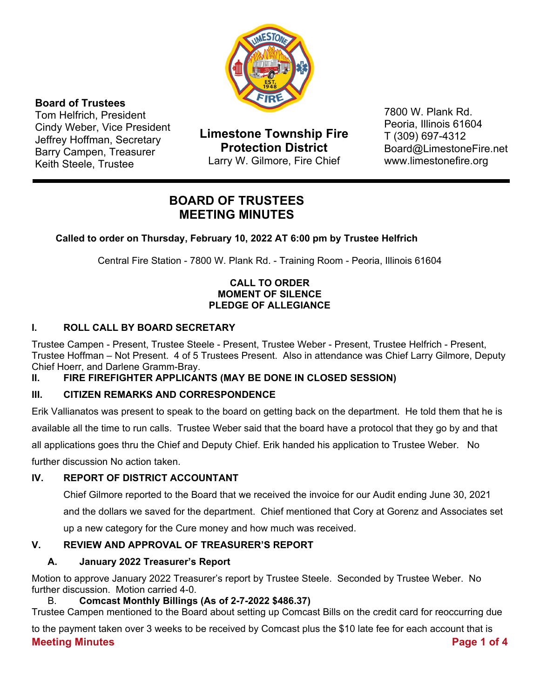

**Board of Trustees** 

Tom Helfrich, President Cindy Weber, Vice President Jeffrey Hoffman, Secretary Barry Campen, Treasurer Keith Steele, Trustee

**Limestone Township Fire Protection District**  Larry W. Gilmore, Fire Chief

7800 W. Plank Rd. Peoria, Illinois 61604 T (309) 697-4312 Board@LimestoneFire.net www.limestonefire.org

# **BOARD OF TRUSTEES MEETING MINUTES**

**Called to order on Thursday, February 10, 2022 AT 6:00 pm by Trustee Helfrich** 

Central Fire Station - 7800 W. Plank Rd. - Training Room - Peoria, Illinois 61604

### **CALL TO ORDER MOMENT OF SILENCE PLEDGE OF ALLEGIANCE**

# **I. ROLL CALL BY BOARD SECRETARY**

Trustee Campen - Present, Trustee Steele - Present, Trustee Weber - Present, Trustee Helfrich - Present, Trustee Hoffman – Not Present. 4 of 5 Trustees Present. Also in attendance was Chief Larry Gilmore, Deputy Chief Hoerr, and Darlene Gramm-Bray.

# **II. FIRE FIREFIGHTER APPLICANTS (MAY BE DONE IN CLOSED SESSION)**

### **III. CITIZEN REMARKS AND CORRESPONDENCE**

Erik Vallianatos was present to speak to the board on getting back on the department. He told them that he is available all the time to run calls. Trustee Weber said that the board have a protocol that they go by and that all applications goes thru the Chief and Deputy Chief. Erik handed his application to Trustee Weber. No further discussion No action taken.

# **IV. REPORT OF DISTRICT ACCOUNTANT**

Chief Gilmore reported to the Board that we received the invoice for our Audit ending June 30, 2021 and the dollars we saved for the department. Chief mentioned that Cory at Gorenz and Associates set up a new category for the Cure money and how much was received.

# **V. REVIEW AND APPROVAL OF TREASURER'S REPORT**

# **A. January 2022 Treasurer's Report**

Motion to approve January 2022 Treasurer's report by Trustee Steele. Seconded by Trustee Weber. No further discussion. Motion carried 4-0.

### B. **Comcast Monthly Billings (As of 2-7-2022 \$486.37)**

Trustee Campen mentioned to the Board about setting up Comcast Bills on the credit card for reoccurring due

**Meeting Minutes Page 1 of 4**  to the payment taken over 3 weeks to be received by Comcast plus the \$10 late fee for each account that is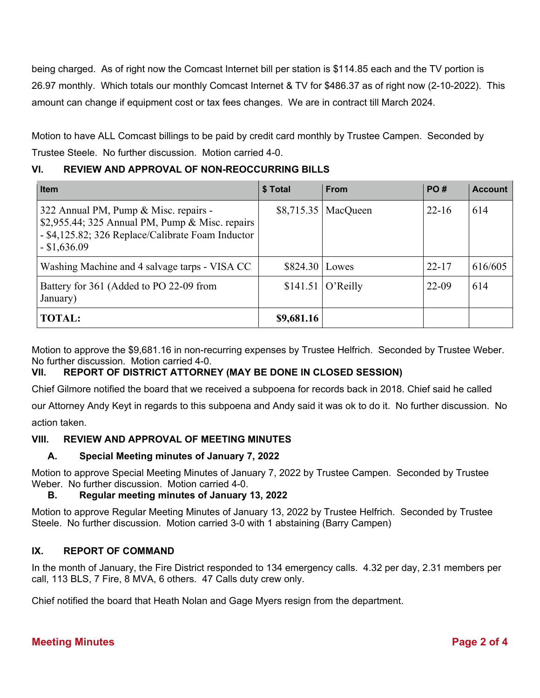being charged. As of right now the Comcast Internet bill per station is \$114.85 each and the TV portion is 26.97 monthly. Which totals our monthly Comcast Internet & TV for \$486.37 as of right now (2-10-2022). This amount can change if equipment cost or tax fees changes. We are in contract till March 2024.

Motion to have ALL Comcast billings to be paid by credit card monthly by Trustee Campen. Seconded by Trustee Steele. No further discussion. Motion carried 4-0.

### **VI. REVIEW AND APPROVAL OF NON-REOCCURRING BILLS**

| <b>Item</b>                                                                                                                                                     | \$Total    | <b>From</b> | PO#       | <b>Account</b> |
|-----------------------------------------------------------------------------------------------------------------------------------------------------------------|------------|-------------|-----------|----------------|
| 322 Annual PM, Pump & Misc. repairs -<br>\$2,955.44; 325 Annual PM, Pump & Misc. repairs<br>- \$4,125.82; 326 Replace/Calibrate Foam Inductor<br>$-$ \$1,636.09 | \$8,715.35 | MacQueen    | $22 - 16$ | 614            |
| Washing Machine and 4 salvage tarps - VISA CC                                                                                                                   | \$824.30   | Lowes       | $22 - 17$ | 616/605        |
| Battery for 361 (Added to PO 22-09 from<br>January)                                                                                                             | \$141.51   | O'Relly     | $22-09$   | 614            |
| <b>TOTAL:</b>                                                                                                                                                   | \$9,681.16 |             |           |                |

Motion to approve the \$9,681.16 in non-recurring expenses by Trustee Helfrich. Seconded by Trustee Weber. No further discussion. Motion carried 4-0.

### **VII. REPORT OF DISTRICT ATTORNEY (MAY BE DONE IN CLOSED SESSION)**

Chief Gilmore notified the board that we received a subpoena for records back in 2018. Chief said he called

our Attorney Andy Keyt in regards to this subpoena and Andy said it was ok to do it. No further discussion. No

action taken.

### **VIII. REVIEW AND APPROVAL OF MEETING MINUTES**

#### **A. Special Meeting minutes of January 7, 2022**

Motion to approve Special Meeting Minutes of January 7, 2022 by Trustee Campen. Seconded by Trustee Weber. No further discussion. Motion carried 4-0.

#### **B. Regular meeting minutes of January 13, 2022**

Motion to approve Regular Meeting Minutes of January 13, 2022 by Trustee Helfrich. Seconded by Trustee Steele. No further discussion. Motion carried 3-0 with 1 abstaining (Barry Campen)

### **IX. REPORT OF COMMAND**

In the month of January, the Fire District responded to 134 emergency calls. 4.32 per day, 2.31 members per call, 113 BLS, 7 Fire, 8 MVA, 6 others. 47 Calls duty crew only.

Chief notified the board that Heath Nolan and Gage Myers resign from the department.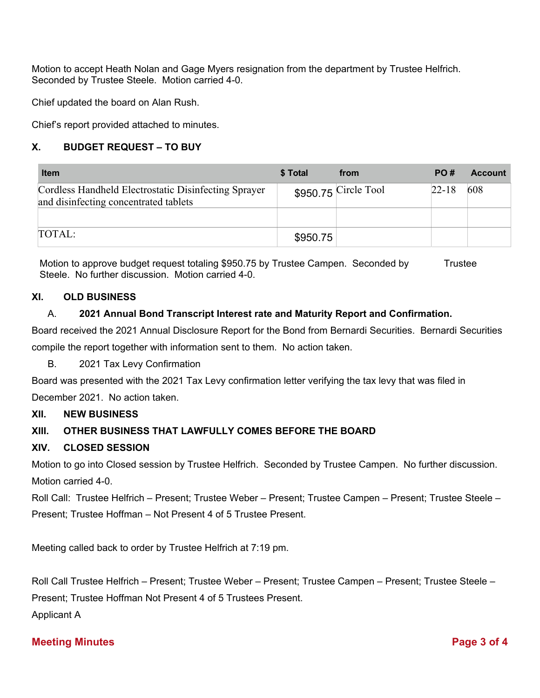Motion to accept Heath Nolan and Gage Myers resignation from the department by Trustee Helfrich. Seconded by Trustee Steele. Motion carried 4-0.

Chief updated the board on Alan Rush.

Chief's report provided attached to minutes.

### **X. BUDGET REQUEST – TO BUY**

| <b>Item</b>                                                                                   | \$ Total | from                  | PO#       | <b>Account</b> |
|-----------------------------------------------------------------------------------------------|----------|-----------------------|-----------|----------------|
| Cordless Handheld Electrostatic Disinfecting Sprayer<br>and disinfecting concentrated tablets |          | $$950.75$ Circle Tool | $22 - 18$ | 608            |
|                                                                                               |          |                       |           |                |
| TOTAL:                                                                                        | \$950.75 |                       |           |                |

Motion to approve budget request totaling \$950.75 by Trustee Campen. Seconded by Trustee Steele. No further discussion. Motion carried 4-0.

#### **XI. OLD BUSINESS**

#### A. **2021 Annual Bond Transcript Interest rate and Maturity Report and Confirmation.**

Board received the 2021 Annual Disclosure Report for the Bond from Bernardi Securities. Bernardi Securities compile the report together with information sent to them. No action taken.

#### B. 2021 Tax Levy Confirmation

Board was presented with the 2021 Tax Levy confirmation letter verifying the tax levy that was filed in December 2021. No action taken.

#### **XII. NEW BUSINESS**

#### **XIII. OTHER BUSINESS THAT LAWFULLY COMES BEFORE THE BOARD**

#### **XIV. CLOSED SESSION**

Motion to go into Closed session by Trustee Helfrich. Seconded by Trustee Campen. No further discussion. Motion carried 4-0.

Roll Call: Trustee Helfrich – Present; Trustee Weber – Present; Trustee Campen – Present; Trustee Steele – Present; Trustee Hoffman – Not Present 4 of 5 Trustee Present.

Meeting called back to order by Trustee Helfrich at 7:19 pm.

Roll Call Trustee Helfrich – Present; Trustee Weber – Present; Trustee Campen – Present; Trustee Steele – Present; Trustee Hoffman Not Present 4 of 5 Trustees Present. Applicant A

#### **Meeting Minutes Page 3 of 4**